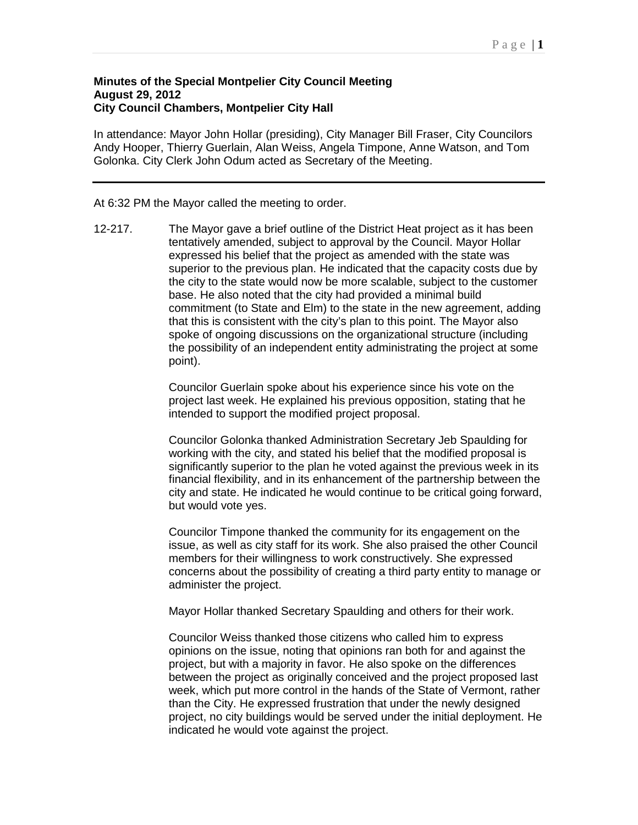## **Minutes of the Special Montpelier City Council Meeting August 29, 2012 City Council Chambers, Montpelier City Hall**

In attendance: Mayor John Hollar (presiding), City Manager Bill Fraser, City Councilors Andy Hooper, Thierry Guerlain, Alan Weiss, Angela Timpone, Anne Watson, and Tom Golonka. City Clerk John Odum acted as Secretary of the Meeting.

## At 6:32 PM the Mayor called the meeting to order.

12-217. The Mayor gave a brief outline of the District Heat project as it has been tentatively amended, subject to approval by the Council. Mayor Hollar expressed his belief that the project as amended with the state was superior to the previous plan. He indicated that the capacity costs due by the city to the state would now be more scalable, subject to the customer base. He also noted that the city had provided a minimal build commitment (to State and Elm) to the state in the new agreement, adding that this is consistent with the city's plan to this point. The Mayor also spoke of ongoing discussions on the organizational structure (including the possibility of an independent entity administrating the project at some point).

> Councilor Guerlain spoke about his experience since his vote on the project last week. He explained his previous opposition, stating that he intended to support the modified project proposal.

Councilor Golonka thanked Administration Secretary Jeb Spaulding for working with the city, and stated his belief that the modified proposal is significantly superior to the plan he voted against the previous week in its financial flexibility, and in its enhancement of the partnership between the city and state. He indicated he would continue to be critical going forward, but would vote yes.

Councilor Timpone thanked the community for its engagement on the issue, as well as city staff for its work. She also praised the other Council members for their willingness to work constructively. She expressed concerns about the possibility of creating a third party entity to manage or administer the project.

Mayor Hollar thanked Secretary Spaulding and others for their work.

Councilor Weiss thanked those citizens who called him to express opinions on the issue, noting that opinions ran both for and against the project, but with a majority in favor. He also spoke on the differences between the project as originally conceived and the project proposed last week, which put more control in the hands of the State of Vermont, rather than the City. He expressed frustration that under the newly designed project, no city buildings would be served under the initial deployment. He indicated he would vote against the project.